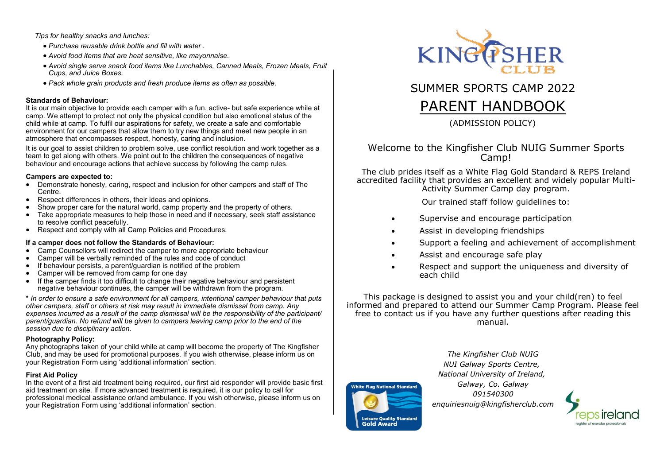*Tips for healthy snacks and lunches:* 

- *Purchase reusable drink bottle and fill with water .*
- *Avoid food items that are heat sensitive, like mayonnaise.*
- *Avoid single serve snack food items like Lunchables, Canned Meals, Frozen Meals, Fruit Cups, and Juice Boxes.*
- *Pack whole grain products and fresh produce items as often as possible.*

#### **Standards of Behaviour:**

It is our main objective to provide each camper with a fun, active- but safe experience while at camp. We attempt to protect not only the physical condition but also emotional status of the child while at camp. To fulfil our aspirations for safety, we create a safe and comfortable environment for our campers that allow them to try new things and meet new people in an atmosphere that encompasses respect, honesty, caring and inclusion.

It is our goal to assist children to problem solve, use conflict resolution and work together as a team to get along with others. We point out to the children the consequences of negative behaviour and encourage actions that achieve success by following the camp rules.

#### **Campers are expected to:**

- Demonstrate honesty, caring, respect and inclusion for other campers and staff of The Centre.
- Respect differences in others, their ideas and opinions.
- Show proper care for the natural world, camp property and the property of others.
- Take appropriate measures to help those in need and if necessary, seek staff assistance to resolve conflict peacefully.
- Respect and comply with all Camp Policies and Procedures.

## **If a camper does not follow the Standards of Behaviour:**

- Camp Counsellors will redirect the camper to more appropriate behaviour
- Camper will be verbally reminded of the rules and code of conduct
- If behaviour persists, a parent/quardian is notified of the problem
- Camper will be removed from camp for one day
- If the camper finds it too difficult to change their negative behaviour and persistent negative behaviour continues, the camper will be withdrawn from the program.

\* *In order to ensure a safe environment for all campers, intentional camper behaviour that puts other campers, staff or others at risk may result in immediate dismissal from camp. Any expenses incurred as a result of the camp dismissal will be the responsibility of the participant/ parent/guardian. No refund will be given to campers leaving camp prior to the end of the session due to disciplinary action.*

## **Photography Policy:**

Any photographs taken of your child while at camp will become the property of The Kingfisher Club, and may be used for promotional purposes. If you wish otherwise, please inform us on your Registration Form using 'additional information' section.

## **First Aid Policy**

In the event of a first aid treatment being required, our first aid responder will provide basic first aid treatment on site. If more advanced treatment is required, it is our policy to call for professional medical assistance or/and ambulance. If you wish otherwise, please inform us on your Registration Form using 'additional information' section.



SUMMER SPORTS CAMP 2022

# PARENT HANDBOOK

(ADMISSION POLICY)

## Welcome to the Kingfisher Club NUIG Summer Sports Camp!

The club prides itself as a White Flag Gold Standard & REPS Ireland accredited facility that provides an excellent and widely popular Multi-Activity Summer Camp day program.

Our trained staff follow guidelines to:

- Supervise and encourage participation
- Assist in developing friendships
- Support a feeling and achievement of accomplishment
- Assist and encourage safe play
- Respect and support the uniqueness and diversity of each child

This package is designed to assist you and your child(ren) to feel informed and prepared to attend our Summer Camp Program. Please feel free to contact us if you have any further questions after reading this manual.

> *The Kingfisher Club NUIG NUI Galway Sports Centre, National University of Ireland,*

*Galway, Co. Galway 091540300 enquiriesnuig@kingfisherclub.com*

.<br>White Flag National Standard

**Leisure Quality Standard Gold Award**